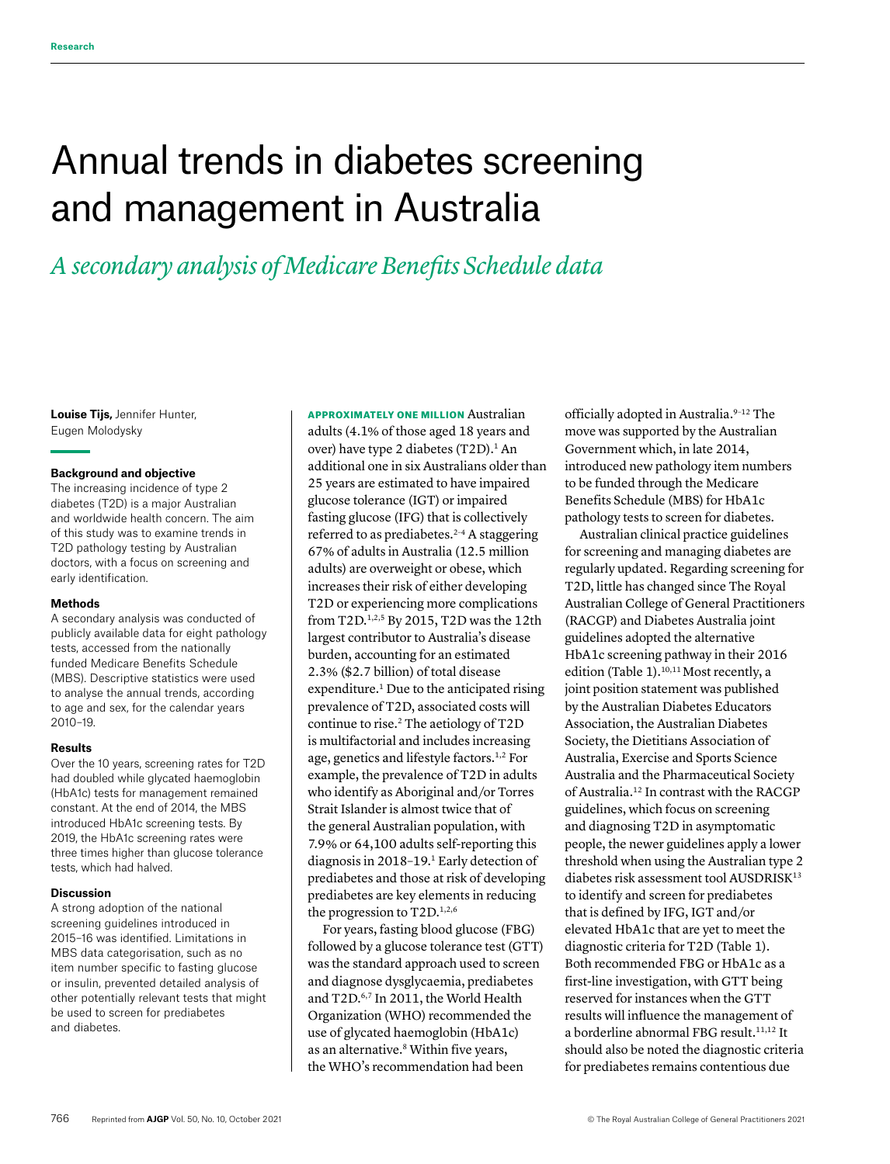# Annual trends in diabetes screening and management in Australia

## *A secondary analysis of Medicare Benefits Schedule data*

**Louise Tijs,** Jennifer Hunter, Eugen Molodysky

## **Background and objective**

The increasing incidence of type 2 diabetes (T2D) is a major Australian and worldwide health concern. The aim of this study was to examine trends in T2D pathology testing by Australian doctors, with a focus on screening and early identification.

## **Methods**

A secondary analysis was conducted of publicly available data for eight pathology tests, accessed from the nationally funded Medicare Benefits Schedule (MBS). Descriptive statistics were used to analyse the annual trends, according to age and sex, for the calendar years 2010–19.

#### **Results**

Over the 10 years, screening rates for T2D had doubled while glycated haemoglobin (HbA1c) tests for management remained constant. At the end of 2014, the MBS introduced HbA1c screening tests. By 2019, the HbA1c screening rates were three times higher than glucose tolerance tests, which had halved.

## **Discussion**

A strong adoption of the national screening guidelines introduced in 2015–16 was identified. Limitations in MBS data categorisation, such as no item number specific to fasting glucose or insulin, prevented detailed analysis of other potentially relevant tests that might be used to screen for prediabetes and diabetes.

APPROXIMATELY ONE MILLION Australian adults (4.1% of those aged 18 years and over) have type 2 diabetes  $(T2D)$ .<sup>1</sup> An additional one in six Australians older than 25 years are estimated to have impaired glucose tolerance (IGT) or impaired fasting glucose (IFG) that is collectively referred to as prediabetes.<sup> $2-4$ </sup> A staggering 67% of adults in Australia (12.5 million adults) are overweight or obese, which increases their risk of either developing T2D or experiencing more complications from T2D.1,2,5 By 2015, T2D was the 12th largest contributor to Australia's disease burden, accounting for an estimated 2.3% (\$2.7 billion) of total disease expenditure.<sup>1</sup> Due to the anticipated rising prevalence of T2D, associated costs will continue to rise.2 The aetiology of T2D is multifactorial and includes increasing age, genetics and lifestyle factors.<sup>1,2</sup> For example, the prevalence of T2D in adults who identify as Aboriginal and/or Torres Strait Islander is almost twice that of the general Australian population, with 7.9% or 64,100 adults self-reporting this diagnosis in 2018–19.1 Early detection of prediabetes and those at risk of developing prediabetes are key elements in reducing the progression to T2D.<sup>1,2,6</sup>

For years, fasting blood glucose (FBG) followed by a glucose tolerance test (GTT) was the standard approach used to screen and diagnose dysglycaemia, prediabetes and T2D.6,7 In 2011, the World Health Organization (WHO) recommended the use of glycated haemoglobin (HbA1c) as an alternative.<sup>8</sup> Within five years, the WHO's recommendation had been

officially adopted in Australia.<sup>9-12</sup> The move was supported by the Australian Government which, in late 2014, introduced new pathology item numbers to be funded through the Medicare Benefits Schedule (MBS) for HbA1c pathology tests to screen for diabetes.

Australian clinical practice guidelines for screening and managing diabetes are regularly updated. Regarding screening for T2D, little has changed since The Royal Australian College of General Practitioners (RACGP) and Diabetes Australia joint guidelines adopted the alternative HbA1c screening pathway in their 2016 edition (Table 1).<sup>10,11</sup> Most recently, a joint position statement was published by the Australian Diabetes Educators Association, the Australian Diabetes Society, the Dietitians Association of Australia, Exercise and Sports Science Australia and the Pharmaceutical Society of Australia.12 In contrast with the RACGP guidelines, which focus on screening and diagnosing T2D in asymptomatic people, the newer guidelines apply a lower threshold when using the Australian type 2 diabetes risk assessment tool AUSDRISK<sup>13</sup> to identify and screen for prediabetes that is defined by IFG, IGT and/or elevated HbA1c that are yet to meet the diagnostic criteria for T2D (Table 1). Both recommended FBG or HbA1c as a first-line investigation, with GTT being reserved for instances when the GTT results will influence the management of a borderline abnormal FBG result.11,12 It should also be noted the diagnostic criteria for prediabetes remains contentious due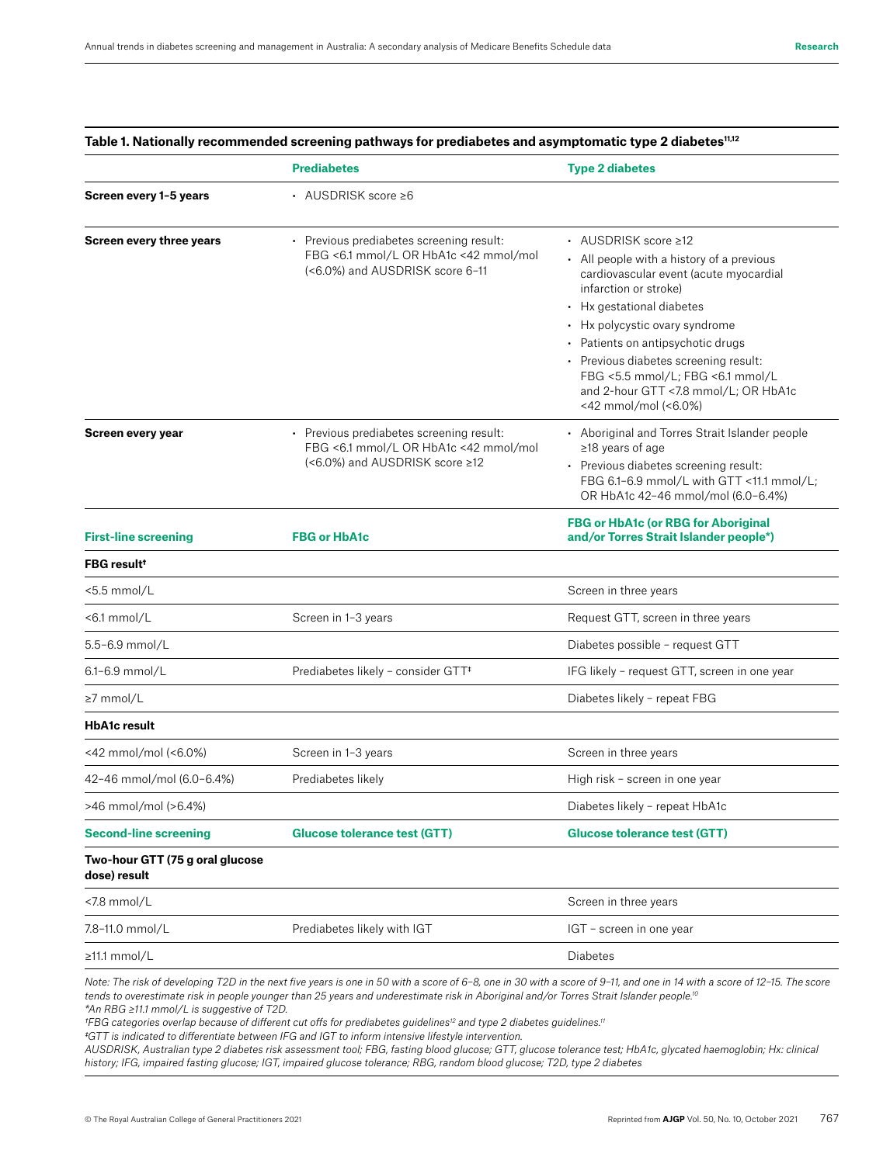|                                                                                                                                                         | <b>Prediabetes</b>                                                                                                  | <b>Type 2 diabetes</b>                                                                                                                                                                                                                                                                                                                                                                |  |
|---------------------------------------------------------------------------------------------------------------------------------------------------------|---------------------------------------------------------------------------------------------------------------------|---------------------------------------------------------------------------------------------------------------------------------------------------------------------------------------------------------------------------------------------------------------------------------------------------------------------------------------------------------------------------------------|--|
| Screen every 1-5 years                                                                                                                                  | • AUSDRISK score ≥6                                                                                                 |                                                                                                                                                                                                                                                                                                                                                                                       |  |
| <b>Screen every three years</b><br>• Previous prediabetes screening result:<br>FBG <6.1 mmol/L OR HbA1c <42 mmol/mol<br>(<6.0%) and AUSDRISK score 6-11 |                                                                                                                     | • AUSDRISK score ≥12<br>• All people with a history of a previous<br>cardiovascular event (acute myocardial<br>infarction or stroke)<br>• Hx gestational diabetes<br>• Hx polycystic ovary syndrome<br>• Patients on antipsychotic drugs<br>• Previous diabetes screening result:<br>FBG <5.5 mmol/L; FBG <6.1 mmol/L<br>and 2-hour GTT <7.8 mmol/L; OR HbA1c<br><42 mmol/mol (<6.0%) |  |
| Screen every year                                                                                                                                       | • Previous prediabetes screening result:<br>FBG <6.1 mmol/L OR HbA1c <42 mmol/mol<br>(<6.0%) and AUSDRISK score ≥12 | • Aboriginal and Torres Strait Islander people<br>≥18 years of age<br>• Previous diabetes screening result:<br>FBG 6.1-6.9 mmol/L with GTT <11.1 mmol/L;<br>OR HbA1c 42-46 mmol/mol (6.0-6.4%)                                                                                                                                                                                        |  |
| <b>First-line screening</b>                                                                                                                             | <b>FBG or HbA1c</b>                                                                                                 | <b>FBG or HbA1c (or RBG for Aboriginal</b><br>and/or Torres Strait Islander people*)                                                                                                                                                                                                                                                                                                  |  |
| <b>FBG result!</b>                                                                                                                                      |                                                                                                                     |                                                                                                                                                                                                                                                                                                                                                                                       |  |
| <5.5 mmol/L                                                                                                                                             |                                                                                                                     | Screen in three years                                                                                                                                                                                                                                                                                                                                                                 |  |
| <6.1 mmol/L                                                                                                                                             | Screen in 1-3 years                                                                                                 | Request GTT, screen in three years                                                                                                                                                                                                                                                                                                                                                    |  |
| 5.5-6.9 mmol/L                                                                                                                                          |                                                                                                                     | Diabetes possible - request GTT                                                                                                                                                                                                                                                                                                                                                       |  |
| 6.1-6.9 mmol/L                                                                                                                                          | Prediabetes likely - consider GTT <sup>+</sup>                                                                      | IFG likely - request GTT, screen in one year                                                                                                                                                                                                                                                                                                                                          |  |
| ≥7 mmol/L                                                                                                                                               |                                                                                                                     | Diabetes likely - repeat FBG                                                                                                                                                                                                                                                                                                                                                          |  |
| <b>HbA1c result</b>                                                                                                                                     |                                                                                                                     |                                                                                                                                                                                                                                                                                                                                                                                       |  |
| <42 mmol/mol (<6.0%)                                                                                                                                    | Screen in 1-3 years                                                                                                 | Screen in three years                                                                                                                                                                                                                                                                                                                                                                 |  |
| 42-46 mmol/mol (6.0-6.4%)                                                                                                                               | Prediabetes likely                                                                                                  | High risk - screen in one year                                                                                                                                                                                                                                                                                                                                                        |  |
| >46 mmol/mol (>6.4%)                                                                                                                                    |                                                                                                                     | Diabetes likely - repeat HbA1c                                                                                                                                                                                                                                                                                                                                                        |  |
| <b>Second-line screening</b>                                                                                                                            | <b>Glucose tolerance test (GTT)</b>                                                                                 | <b>Glucose tolerance test (GTT)</b>                                                                                                                                                                                                                                                                                                                                                   |  |
| Two-hour GTT (75 g oral glucose<br>dose) result                                                                                                         |                                                                                                                     |                                                                                                                                                                                                                                                                                                                                                                                       |  |
| <7.8 mmol/L                                                                                                                                             |                                                                                                                     | Screen in three years                                                                                                                                                                                                                                                                                                                                                                 |  |
| 7.8-11.0 mmol/L                                                                                                                                         | Prediabetes likely with IGT                                                                                         | IGT - screen in one year                                                                                                                                                                                                                                                                                                                                                              |  |
| ≥11.1 mmol/L                                                                                                                                            |                                                                                                                     | Diabetes                                                                                                                                                                                                                                                                                                                                                                              |  |

**Table 1. Nationally recommended screening pathways for prediabetes and asymptomatic type 2 diabetes11,12**

*Note: The risk of developing T2D in the next five years is one in 50 with a score of 6–8, one in 30 with a score of 9–11, and one in 14 with a score of 12–15. The score tends to overestimate risk in people younger than 25 years and underestimate risk in Aboriginal and/or Torres Strait Islander people.10 \*An RBG ≥11.1 mmol/L is suggestive of T2D.* 

*†FBG categories overlap because of different cut offs for prediabetes guidelines12 and type 2 diabetes guidelines.11*

*‡GTT is indicated to differentiate between IFG and IGT to inform intensive lifestyle intervention.*

*AUSDRISK, Australian type 2 diabetes risk assessment tool; FBG, fasting blood glucose; GTT, glucose tolerance test; HbA1c, glycated haemoglobin; Hx: clinical history; IFG, impaired fasting glucose; IGT, impaired glucose tolerance; RBG, random blood glucose; T2D, type 2 diabetes*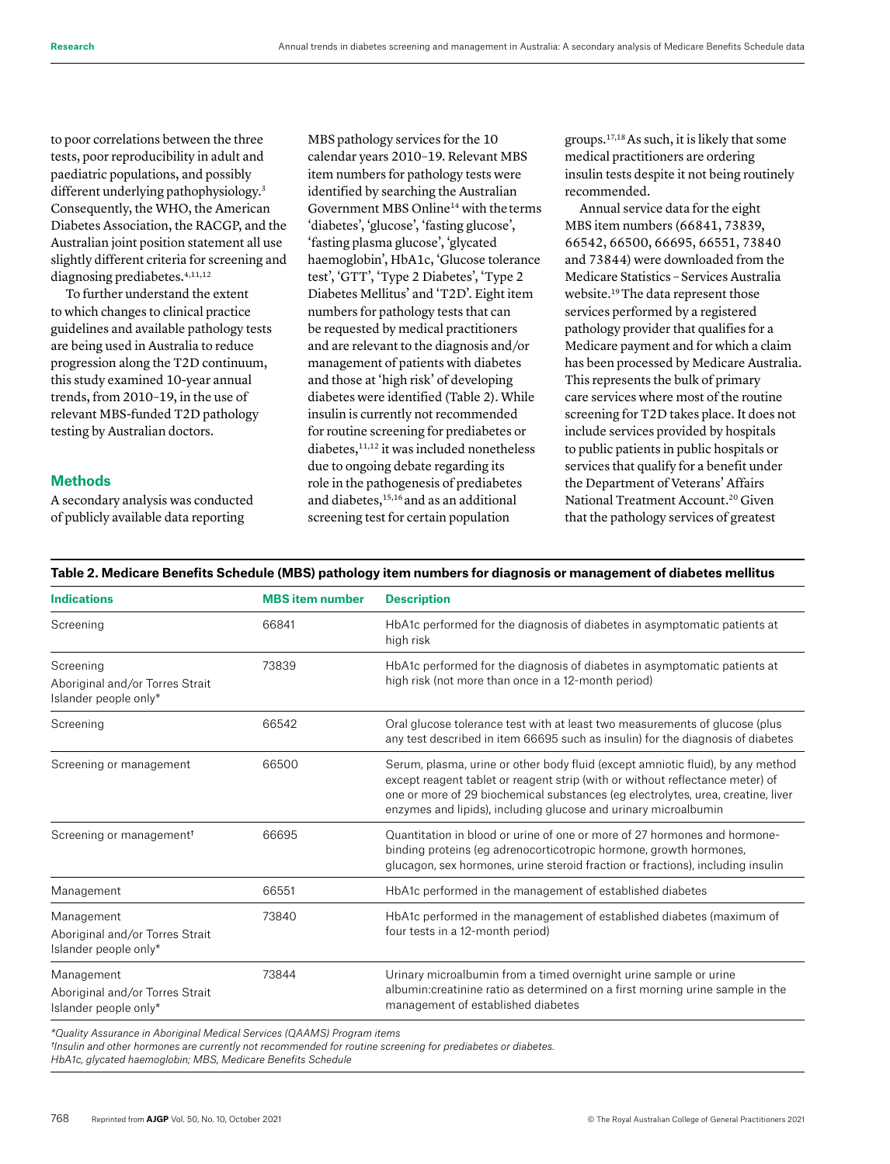to poor correlations between the three tests, poor reproducibility in adult and paediatric populations, and possibly different underlying pathophysiology.<sup>3</sup> Consequently, the WHO, the American Diabetes Association, the RACGP, and the Australian joint position statement all use slightly different criteria for screening and diagnosing prediabetes.<sup>4,11,12</sup>

To further understand the extent to which changes to clinical practice guidelines and available pathology tests are being used in Australia to reduce progression along the T2D continuum, this study examined 10-year annual trends, from 2010–19, in the use of relevant MBS-funded T2D pathology testing by Australian doctors.

## **Methods**

A secondary analysis was conducted of publicly available data reporting

MBS pathology services for the 10 calendar years 2010–19. Relevant MBS item numbers for pathology tests were identified by searching the Australian Government MBS Online14 with theterms 'diabetes', 'glucose', 'fasting glucose', 'fasting plasma glucose', 'glycated haemoglobin', HbA1c, 'Glucose tolerance test', 'GTT', 'Type 2 Diabetes', 'Type 2 Diabetes Mellitus' and 'T2D'. Eight item numbers for pathology tests that can be requested by medical practitioners and are relevant to the diagnosis and/or management of patients with diabetes and those at 'high risk' of developing diabetes were identified (Table 2). While insulin is currently not recommended for routine screening for prediabetes or diabetes,<sup>11,12</sup> it was included nonetheless due to ongoing debate regarding its role in the pathogenesis of prediabetes and diabetes,15,16 and as an additional screening test for certain population

groups.17,18 As such, it is likely that some medical practitioners are ordering insulin tests despite it not being routinely recommended.

Annual service data for the eight MBS item numbers (66841, 73839, 66542, 66500, 66695, 66551, 73840 and 73844) were downloaded from the Medicare Statistics – Services Australia website.19 The data represent those services performed by a registered pathology provider that qualifies for a Medicare payment and for which a claim has been processed by Medicare Australia. This represents the bulk of primary care services where most of the routine screening for T2D takes place. It does not include services provided by hospitals to public patients in public hospitals or services that qualify for a benefit under the Department of Veterans' Affairs National Treatment Account.<sup>20</sup> Given that the pathology services of greatest

| <b>Indications</b>                                                     | <b>MBS</b> item number | <b>Description</b>                                                                                                                                                                                                                                                                                                      |
|------------------------------------------------------------------------|------------------------|-------------------------------------------------------------------------------------------------------------------------------------------------------------------------------------------------------------------------------------------------------------------------------------------------------------------------|
| Screening                                                              | 66841                  | HbA1c performed for the diagnosis of diabetes in asymptomatic patients at<br>high risk                                                                                                                                                                                                                                  |
| Screening<br>Aboriginal and/or Torres Strait<br>Islander people only*  | 73839                  | HbA1c performed for the diagnosis of diabetes in asymptomatic patients at<br>high risk (not more than once in a 12-month period)                                                                                                                                                                                        |
| Screening                                                              | 66542                  | Oral glucose tolerance test with at least two measurements of glucose (plus<br>any test described in item 66695 such as insulin) for the diagnosis of diabetes                                                                                                                                                          |
| Screening or management                                                | 66500                  | Serum, plasma, urine or other body fluid (except amniotic fluid), by any method<br>except reagent tablet or reagent strip (with or without reflectance meter) of<br>one or more of 29 biochemical substances (eg electrolytes, urea, creatine, liver<br>enzymes and lipids), including glucose and urinary microalbumin |
| Screening or management <sup>+</sup>                                   | 66695                  | Quantitation in blood or urine of one or more of 27 hormones and hormone-<br>binding proteins (eg adrenocorticotropic hormone, growth hormones,<br>glucagon, sex hormones, urine steroid fraction or fractions), including insulin                                                                                      |
| Management                                                             | 66551                  | HbA1c performed in the management of established diabetes                                                                                                                                                                                                                                                               |
| Management<br>Aboriginal and/or Torres Strait<br>Islander people only* | 73840                  | HbA1c performed in the management of established diabetes (maximum of<br>four tests in a 12-month period)                                                                                                                                                                                                               |
| Management<br>Aboriginal and/or Torres Strait<br>Islander people only* | 73844                  | Urinary microalbumin from a timed overnight urine sample or urine<br>albumin: creatinine ratio as determined on a first morning urine sample in the<br>management of established diabetes                                                                                                                               |

**Table 2. Medicare Benefits Schedule (MBS) pathology item numbers for diagnosis or management of diabetes mellitus**

*\*Quality Assurance in Aboriginal Medical Services (QAAMS) Program items* 

*†Insulin and other hormones are currently not recommended for routine screening for prediabetes or diabetes.*

*HbA1c, glycated haemoglobin; MBS, Medicare Benefits Schedule*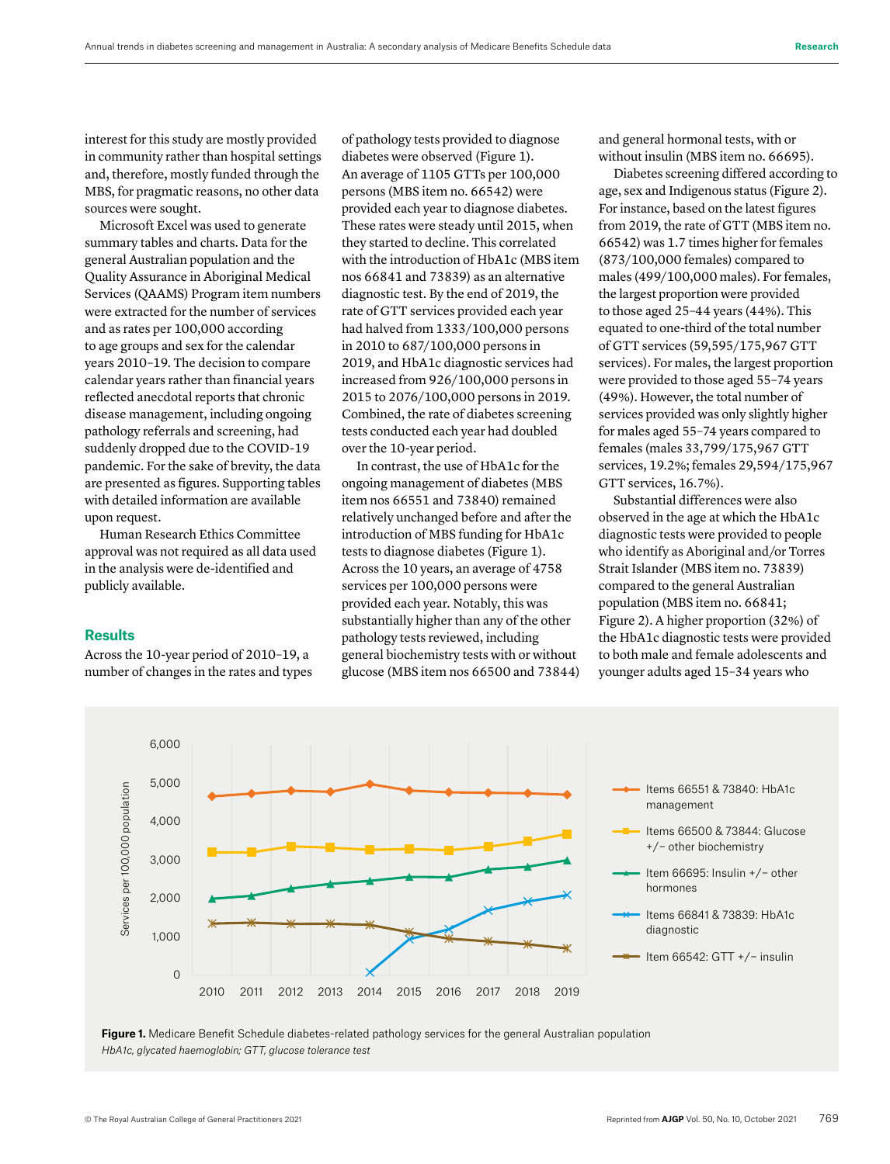**Research**

interest for this study are mostly provided in community rather than hospital settings and, therefore, mostly funded through the MBS, for pragmatic reasons, no other data sources were sought.

Microsoft Excel was used to generate summary tables and charts. Data for the general Australian population and the Quality Assurance in Aboriginal Medical Services (QAAMS) Program item numbers were extracted for the number of services and as rates per 100,000 according to age groups and sex for the calendar years 2010–19. The decision to compare calendar years rather than financial years reflected anecdotal reports that chronic disease management, including ongoing pathology referrals and screening, had suddenly dropped due to the COVID-19 pandemic. For the sake of brevity, the data are presented as figures. Supporting tables with detailed information are available upon request.

Human Research Ethics Committee approval was not required as all data used in the analysis were de-identified and publicly available.

## **Results**

Across the 10-year period of 2010–19, a number of changes in the rates and types of pathology tests provided to diagnose diabetes were observed (Figure 1). An average of 1105 GTTs per 100,000 persons (MBS item no. 66542) were provided each year to diagnose diabetes. These rates were steady until 2015, when they started to decline. This correlated with the introduction of HbA1c (MBS item nos 66841 and 73839) as an alternative diagnostic test. By the end of 2019, the rate of GTT services provided each year had halved from 1333/100,000 persons in 2010 to 687/100,000 persons in 2019, and HbA1c diagnostic services had increased from 926/100,000 persons in 2015 to 2076/100,000 persons in 2019. Combined, the rate of diabetes screening tests conducted each year had doubled over the 10-year period.

In contrast, the use of HbA1c for the ongoing management of diabetes (MBS item nos 66551 and 73840) remained relatively unchanged before and after the introduction of MBS funding for HbA1c tests to diagnose diabetes (Figure 1). Across the 10 years, an average of 4758 services per 100,000 persons were provided each year. Notably, this was substantially higher than any of the other pathology tests reviewed, including general biochemistry tests with or without glucose (MBS item nos 66500 and 73844) and general hormonal tests, with or without insulin (MBS item no. 66695).

Diabetes screening differed according to age, sex and Indigenous status (Figure 2). For instance, based on the latest figures from 2019, the rate of GTT (MBS item no. 66542) was 1.7 times higher for females (873/100,000 females) compared to males (499/100,000 males). For females, the largest proportion were provided to those aged 25–44 years (44%). This equated to one-third of the total number of GTT services (59,595/175,967 GTT services). For males, the largest proportion were provided to those aged 55–74 years (49%). However, the total number of services provided was only slightly higher for males aged 55–74 years compared to females (males 33,799/175,967 GTT services, 19.2%; females 29,594/175,967 GTT services, 16.7%).

Substantial differences were also observed in the age at which the HbA1c diagnostic tests were provided to people who identify as Aboriginal and/or Torres Strait Islander (MBS item no. 73839) compared to the general Australian population (MBS item no. 66841; Figure 2). A higher proportion (32%) of the HbA1c diagnostic tests were provided to both male and female adolescents and younger adults aged 15–34 years who



**Figure 1.** Medicare Benefit Schedule diabetes-related pathology services for the general Australian population *HbA1c, glycated haemoglobin; GTT, glucose tolerance test*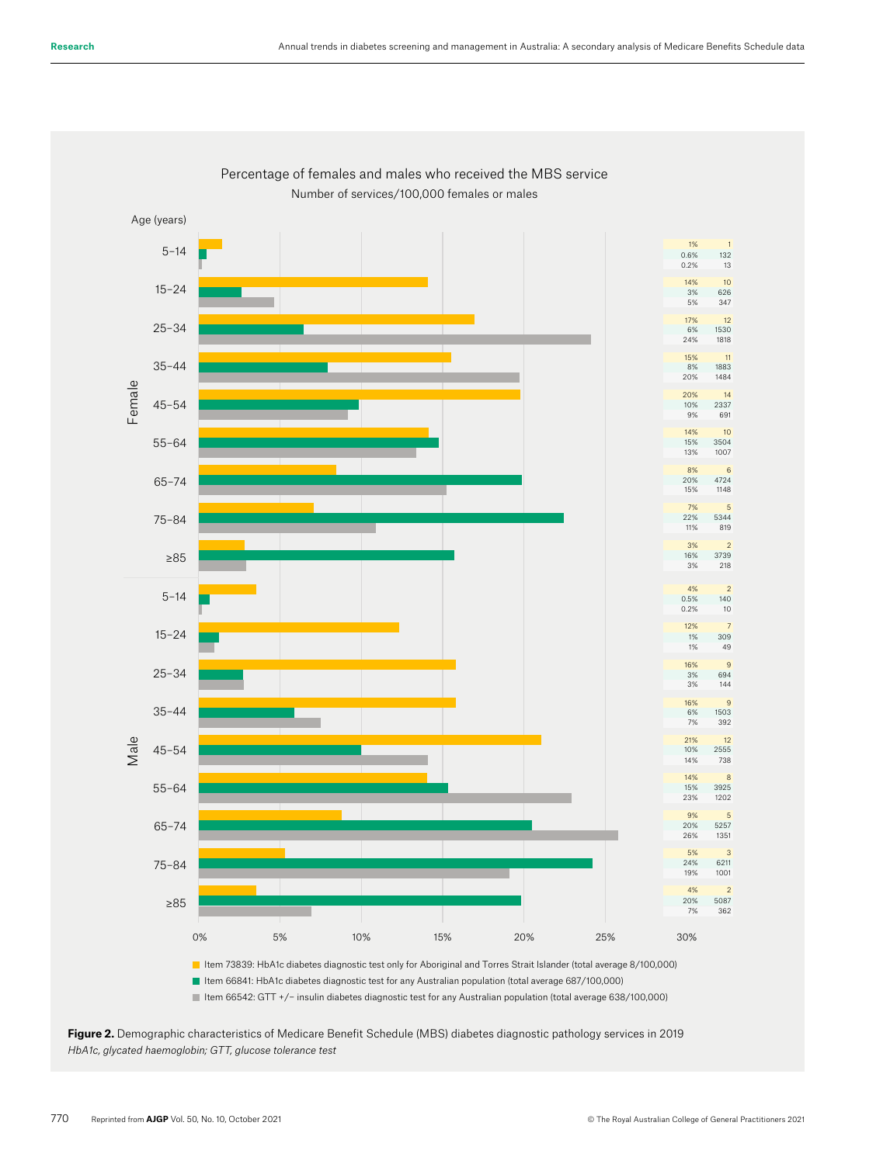

## Percentage of females and males who received the MBS service Number of services/100,000 females or males



■ Item 66841: HbA1c diabetes diagnostic test for any Australian population (total average 687/100,000) Item 66542: GTT +/− insulin diabetes diagnostic test for any Australian population (total average 638/100,000)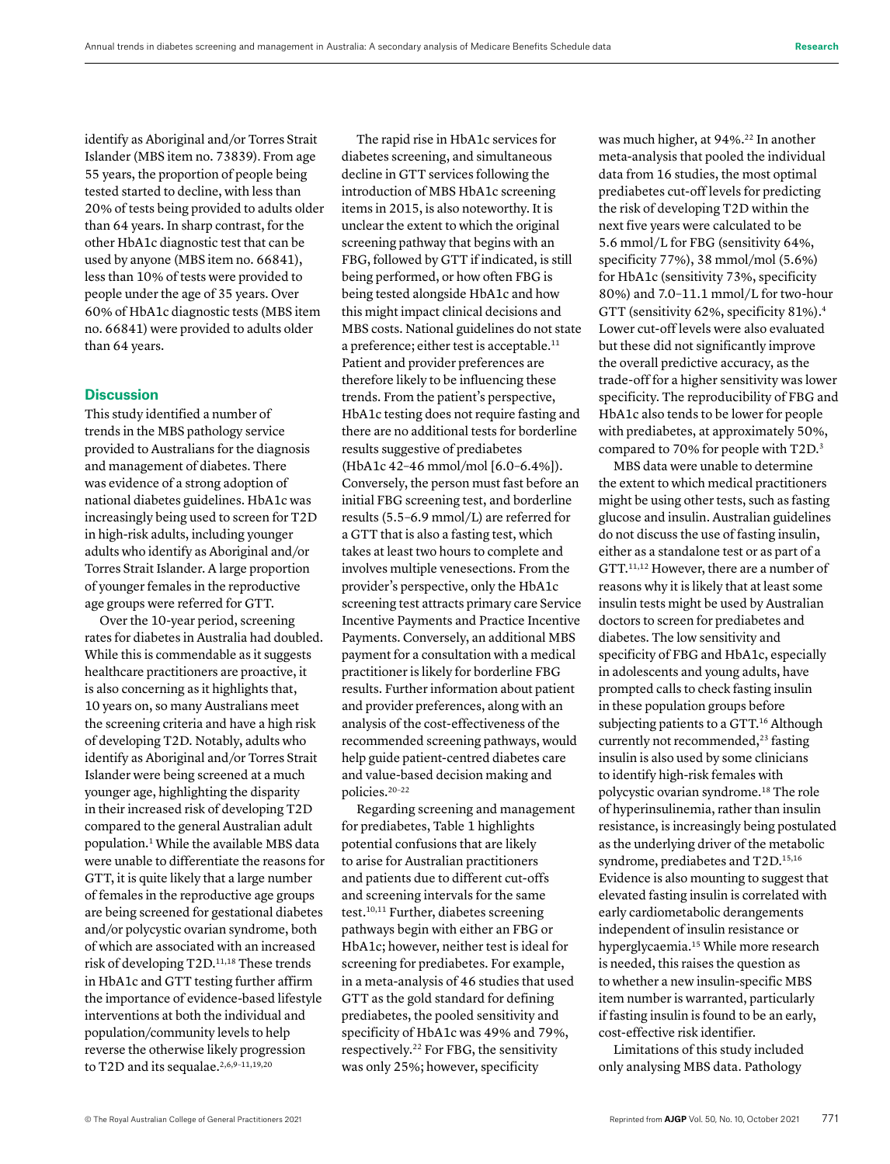identify as Aboriginal and/or Torres Strait Islander (MBS item no. 73839). From age 55 years, the proportion of people being tested started to decline, with less than 20% of tests being provided to adults older than 64 years. In sharp contrast, for the other HbA1c diagnostic test that can be used by anyone (MBS item no. 66841), less than 10% of tests were provided to people under the age of 35 years. Over 60% of HbA1c diagnostic tests (MBS item no. 66841) were provided to adults older than 64 years.

## **Discussion**

This study identified a number of trends in the MBS pathology service provided to Australians for the diagnosis and management of diabetes. There was evidence of a strong adoption of national diabetes guidelines. HbA1c was increasingly being used to screen for T2D in high-risk adults, including younger adults who identify as Aboriginal and/or Torres Strait Islander. A large proportion of younger females in the reproductive age groups were referred for GTT.

Over the 10-year period, screening rates for diabetes in Australia had doubled. While this is commendable as it suggests healthcare practitioners are proactive, it is also concerning as it highlights that, 10 years on, so many Australians meet the screening criteria and have a high risk of developing T2D. Notably, adults who identify as Aboriginal and/or Torres Strait Islander were being screened at a much younger age, highlighting the disparity in their increased risk of developing T2D compared to the general Australian adult population.<sup>1</sup> While the available MBS data were unable to differentiate the reasons for GTT, it is quite likely that a large number of females in the reproductive age groups are being screened for gestational diabetes and/or polycystic ovarian syndrome, both of which are associated with an increased risk of developing T2D.11,18 These trends in HbA1c and GTT testing further affirm the importance of evidence-based lifestyle interventions at both the individual and population/community levels to help reverse the otherwise likely progression to T2D and its sequalae.<sup>2,6,9-11,19,20</sup>

The rapid rise in HbA1c services for diabetes screening, and simultaneous decline in GTT services following the introduction of MBS HbA1c screening items in 2015, is also noteworthy. It is unclear the extent to which the original screening pathway that begins with an FBG, followed by GTT if indicated, is still being performed, or how often FBG is being tested alongside HbA1c and how this might impact clinical decisions and MBS costs. National guidelines do not state a preference; either test is acceptable.<sup>11</sup> Patient and provider preferences are therefore likely to be influencing these trends. From the patient's perspective, HbA1c testing does not require fasting and there are no additional tests for borderline results suggestive of prediabetes (HbA1c 42–46 mmol/mol [6.0–6.4%]). Conversely, the person must fast before an initial FBG screening test, and borderline results (5.5–6.9 mmol/L) are referred for a GTT that is also a fasting test, which takes at least two hours to complete and involves multiple venesections. From the provider's perspective, only the HbA1c screening test attracts primary care Service Incentive Payments and Practice Incentive Payments. Conversely, an additional MBS payment for a consultation with a medical practitioner is likely for borderline FBG results. Further information about patient and provider preferences, along with an analysis of the cost-effectiveness of the recommended screening pathways, would help guide patient-centred diabetes care and value-based decision making and policies.20–22

Regarding screening and management for prediabetes, Table 1 highlights potential confusions that are likely to arise for Australian practitioners and patients due to different cut-offs and screening intervals for the same test.10,11 Further, diabetes screening pathways begin with either an FBG or HbA1c; however, neither test is ideal for screening for prediabetes. For example, in a meta-analysis of 46 studies that used GTT as the gold standard for defining prediabetes, the pooled sensitivity and specificity of HbA1c was 49% and 79%, respectively.22 For FBG, the sensitivity was only 25%; however, specificity

was much higher, at 94%.<sup>22</sup> In another meta-analysis that pooled the individual data from 16 studies, the most optimal prediabetes cut-off levels for predicting the risk of developing T2D within the next five years were calculated to be 5.6 mmol/L for FBG (sensitivity 64%, specificity 77%), 38 mmol/mol (5.6%) for HbA1c (sensitivity 73%, specificity 80%) and 7.0–11.1 mmol/L for two-hour GTT (sensitivity 62%, specificity 81%).4 Lower cut-off levels were also evaluated but these did not significantly improve the overall predictive accuracy, as the trade-off for a higher sensitivity was lower specificity. The reproducibility of FBG and HbA1c also tends to be lower for people with prediabetes, at approximately 50%, compared to 70% for people with T2D.3

MBS data were unable to determine the extent to which medical practitioners might be using other tests, such as fasting glucose and insulin. Australian guidelines do not discuss the use of fasting insulin, either as a standalone test or as part of a GTT.11,12 However, there are a number of reasons why it is likely that at least some insulin tests might be used by Australian doctors to screen for prediabetes and diabetes. The low sensitivity and specificity of FBG and HbA1c, especially in adolescents and young adults, have prompted calls to check fasting insulin in these population groups before subjecting patients to a GTT.<sup>16</sup> Although currently not recommended,<sup>23</sup> fasting insulin is also used by some clinicians to identify high-risk females with polycystic ovarian syndrome.18 The role of hyperinsulinemia, rather than insulin resistance, is increasingly being postulated as the underlying driver of the metabolic syndrome, prediabetes and T2D.<sup>15,16</sup> Evidence is also mounting to suggest that elevated fasting insulin is correlated with early cardiometabolic derangements independent of insulin resistance or hyperglycaemia.<sup>15</sup> While more research is needed, this raises the question as to whether a new insulin-specific MBS item number is warranted, particularly if fasting insulin is found to be an early, cost-effective risk identifier.

Limitations of this study included only analysing MBS data. Pathology